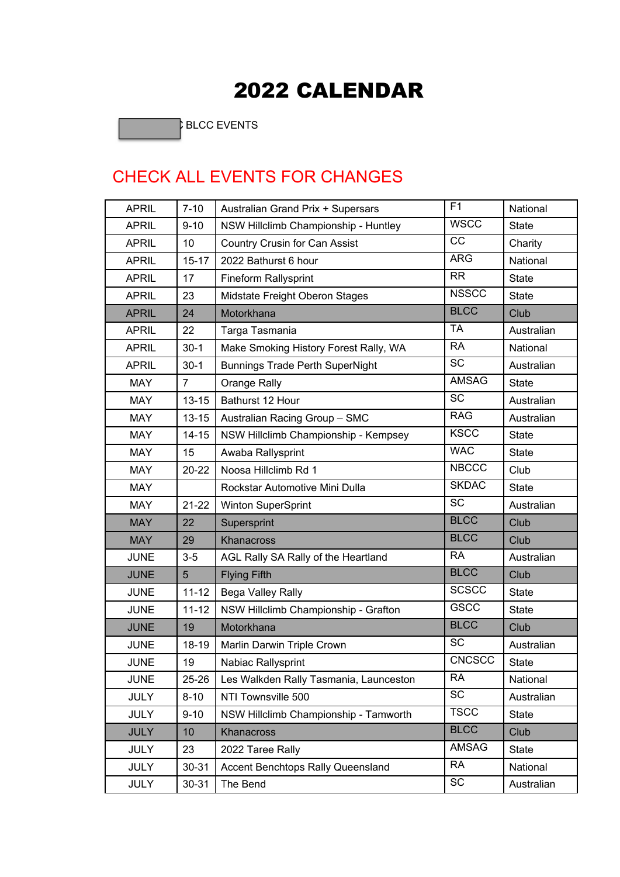## **2022 CALENDAR**

**Black of the State of the State of the State of the State of the State of the State of the State of the State** BLCC EVENTS

## CHECK ALL EVENTS FOR CHANGES CHECK ALL

|                                     |                | <b>2022 CALENDAR</b>                   |                |              |  |  |  |  |  |
|-------------------------------------|----------------|----------------------------------------|----------------|--------------|--|--|--|--|--|
| <b>BLCC EVENTS</b>                  |                |                                        |                |              |  |  |  |  |  |
|                                     |                |                                        |                |              |  |  |  |  |  |
|                                     |                |                                        |                |              |  |  |  |  |  |
| <b>CHECK ALL EVENTS FOR CHANGES</b> |                |                                        |                |              |  |  |  |  |  |
| <b>APRIL</b>                        | $7 - 10$       | Australian Grand Prix + Supersars      | F <sub>1</sub> | National     |  |  |  |  |  |
| <b>APRIL</b>                        | $9 - 10$       | NSW Hillclimb Championship - Huntley   | <b>WSCC</b>    | <b>State</b> |  |  |  |  |  |
| <b>APRIL</b>                        | 10             | Country Crusin for Can Assist          | CC             | Charity      |  |  |  |  |  |
| <b>APRIL</b>                        | $15 - 17$      | 2022 Bathurst 6 hour                   | <b>ARG</b>     | National     |  |  |  |  |  |
| <b>APRIL</b>                        | 17             | <b>Fineform Rallysprint</b>            | <b>RR</b>      | <b>State</b> |  |  |  |  |  |
| <b>APRIL</b>                        | 23             | Midstate Freight Oberon Stages         | <b>NSSCC</b>   | <b>State</b> |  |  |  |  |  |
| <b>APRIL</b>                        | 24             | Motorkhana                             | <b>BLCC</b>    | Club         |  |  |  |  |  |
| <b>APRIL</b>                        | 22             | Targa Tasmania                         | <b>TA</b>      | Australian   |  |  |  |  |  |
| <b>APRIL</b>                        | $30-1$         | Make Smoking History Forest Rally, WA  | <b>RA</b>      | National     |  |  |  |  |  |
| <b>APRIL</b>                        | $30-1$         | <b>Bunnings Trade Perth SuperNight</b> | <b>SC</b>      | Australian   |  |  |  |  |  |
| <b>MAY</b>                          | $\overline{7}$ | Orange Rally                           | <b>AMSAG</b>   | <b>State</b> |  |  |  |  |  |
| <b>MAY</b>                          | $13 - 15$      | Bathurst 12 Hour                       | <b>SC</b>      | Australian   |  |  |  |  |  |
| <b>MAY</b>                          | $13 - 15$      | Australian Racing Group - SMC          | <b>RAG</b>     | Australian   |  |  |  |  |  |
| <b>MAY</b>                          | $14 - 15$      | NSW Hillclimb Championship - Kempsey   | <b>KSCC</b>    | <b>State</b> |  |  |  |  |  |
| <b>MAY</b>                          | 15             | Awaba Rallysprint                      | <b>WAC</b>     | <b>State</b> |  |  |  |  |  |
| <b>MAY</b>                          | $20 - 22$      | Noosa Hillclimb Rd 1                   | <b>NBCCC</b>   | Club         |  |  |  |  |  |
| <b>MAY</b>                          |                | Rockstar Automotive Mini Dulla         | <b>SKDAC</b>   | <b>State</b> |  |  |  |  |  |
| <b>MAY</b>                          | $21 - 22$      | <b>Winton SuperSprint</b>              | <b>SC</b>      | Australian   |  |  |  |  |  |
| <b>MAY</b>                          | 22             | Supersprint                            | <b>BLCC</b>    | Club         |  |  |  |  |  |
| <b>MAY</b>                          | 29             | <b>Khanacross</b>                      | <b>BLCC</b>    | Club         |  |  |  |  |  |
| <b>JUNE</b>                         | $3-5$          | AGL Rally SA Rally of the Heartland    | <b>RA</b>      | Australian   |  |  |  |  |  |
| <b>JUNE</b>                         | 5              | <b>Flying Fifth</b>                    | <b>BLCC</b>    | Club         |  |  |  |  |  |
| <b>JUNE</b>                         | $11 - 12$      | Bega Valley Rally                      | <b>SCSCC</b>   | <b>State</b> |  |  |  |  |  |
| <b>JUNE</b>                         | $11 - 12$      | NSW Hillclimb Championship - Grafton   | <b>GSCC</b>    | <b>State</b> |  |  |  |  |  |
| <b>JUNE</b>                         | 19             | Motorkhana                             | <b>BLCC</b>    | Club         |  |  |  |  |  |
| <b>JUNE</b>                         | 18-19          | Marlin Darwin Triple Crown             | SC             | Australian   |  |  |  |  |  |
| <b>JUNE</b>                         | 19             | Nabiac Rallysprint                     | <b>CNCSCC</b>  | <b>State</b> |  |  |  |  |  |
| <b>JUNE</b>                         | $25 - 26$      | Les Walkden Rally Tasmania, Launceston | <b>RA</b>      | National     |  |  |  |  |  |
| <b>JULY</b>                         | $8 - 10$       | NTI Townsville 500                     | <b>SC</b>      | Australian   |  |  |  |  |  |
| <b>JULY</b>                         | $9 - 10$       | NSW Hillclimb Championship - Tamworth  | <b>TSCC</b>    | <b>State</b> |  |  |  |  |  |
| <b>JULY</b>                         | 10             | Khanacross                             | <b>BLCC</b>    | Club         |  |  |  |  |  |
| <b>JULY</b>                         | 23             | 2022 Taree Rally                       | AMSAG          | <b>State</b> |  |  |  |  |  |
| <b>JULY</b>                         | $30 - 31$      | Accent Benchtops Rally Queensland      | <b>RA</b>      | National     |  |  |  |  |  |
| <b>JULY</b>                         | $30 - 31$      | The Bend                               | SC             | Australian   |  |  |  |  |  |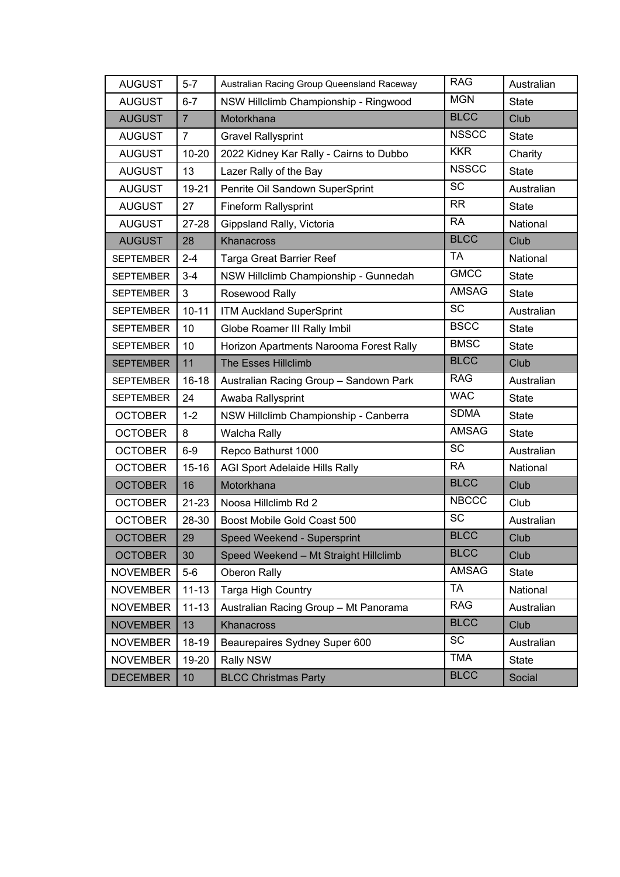| <b>AUGUST</b>    | $5 - 7$        | Australian Racing Group Queensland Raceway | <b>RAG</b>             | Australian   |
|------------------|----------------|--------------------------------------------|------------------------|--------------|
| <b>AUGUST</b>    | $6 - 7$        | NSW Hillclimb Championship - Ringwood      | <b>MGN</b>             | <b>State</b> |
| <b>AUGUST</b>    | $\overline{7}$ | Motorkhana                                 | <b>BLCC</b>            | Club         |
| <b>AUGUST</b>    | $\overline{7}$ | <b>Gravel Rallysprint</b>                  | <b>NSSCC</b>           | <b>State</b> |
| <b>AUGUST</b>    | $10 - 20$      | 2022 Kidney Kar Rally - Cairns to Dubbo    | <b>KKR</b>             | Charity      |
| <b>AUGUST</b>    | 13             | Lazer Rally of the Bay                     | <b>NSSCC</b>           | <b>State</b> |
| <b>AUGUST</b>    | 19-21          | Penrite Oil Sandown SuperSprint            | $\overline{\text{SC}}$ | Australian   |
| <b>AUGUST</b>    | 27             | <b>Fineform Rallysprint</b>                | <b>RR</b>              | <b>State</b> |
| <b>AUGUST</b>    | $27 - 28$      | Gippsland Rally, Victoria                  | <b>RA</b>              | National     |
| <b>AUGUST</b>    | 28             | Khanacross                                 | <b>BLCC</b>            | Club         |
| <b>SEPTEMBER</b> | $2 - 4$        | <b>Targa Great Barrier Reef</b>            | <b>TA</b>              | National     |
| <b>SEPTEMBER</b> | $3 - 4$        | NSW Hillclimb Championship - Gunnedah      | <b>GMCC</b>            | <b>State</b> |
| <b>SEPTEMBER</b> | 3              | Rosewood Rally                             | <b>AMSAG</b>           | <b>State</b> |
| <b>SEPTEMBER</b> | $10 - 11$      | <b>ITM Auckland SuperSprint</b>            | <b>SC</b>              | Australian   |
| <b>SEPTEMBER</b> | 10             | Globe Roamer III Rally Imbil               | <b>BSCC</b>            | <b>State</b> |
| <b>SEPTEMBER</b> | 10             | Horizon Apartments Narooma Forest Rally    | <b>BMSC</b>            | <b>State</b> |
| <b>SEPTEMBER</b> | 11             | <b>The Esses Hillclimb</b>                 | <b>BLCC</b>            | Club         |
| <b>SEPTEMBER</b> | $16 - 18$      | Australian Racing Group - Sandown Park     | <b>RAG</b>             | Australian   |
| <b>SEPTEMBER</b> | 24             | Awaba Rallysprint                          | <b>WAC</b>             | <b>State</b> |
| <b>OCTOBER</b>   | $1 - 2$        | NSW Hillclimb Championship - Canberra      | <b>SDMA</b>            | <b>State</b> |
| <b>OCTOBER</b>   | 8              | <b>Walcha Rally</b>                        | <b>AMSAG</b>           | <b>State</b> |
| <b>OCTOBER</b>   | $6-9$          | Repco Bathurst 1000                        | <b>SC</b>              | Australian   |
| <b>OCTOBER</b>   | $15 - 16$      | <b>AGI Sport Adelaide Hills Rally</b>      | <b>RA</b>              | National     |
| <b>OCTOBER</b>   | 16             | Motorkhana                                 | <b>BLCC</b>            | Club         |
| <b>OCTOBER</b>   | $21 - 23$      | Noosa Hillclimb Rd 2                       | <b>NBCCC</b>           | Club         |
| <b>OCTOBER</b>   | 28-30          | Boost Mobile Gold Coast 500                | <b>SC</b>              | Australian   |
| <b>OCTOBER</b>   | 29             | Speed Weekend - Supersprint                | <b>BLCC</b>            | Club         |
| <b>OCTOBER</b>   | 30             | Speed Weekend - Mt Straight Hillclimb      | <b>BLCC</b>            | Club         |
| <b>NOVEMBER</b>  | $5-6$          | Oberon Rally                               | <b>AMSAG</b>           | <b>State</b> |
| <b>NOVEMBER</b>  | $11 - 13$      | Targa High Country                         | <b>TA</b>              | National     |
| <b>NOVEMBER</b>  | $11 - 13$      | Australian Racing Group - Mt Panorama      | <b>RAG</b>             | Australian   |
| <b>NOVEMBER</b>  | 13             | Khanacross                                 | <b>BLCC</b>            | Club         |
| <b>NOVEMBER</b>  | 18-19          | Beaurepaires Sydney Super 600              | SC                     | Australian   |
| <b>NOVEMBER</b>  | 19-20          | Rally NSW                                  | <b>TMA</b>             | <b>State</b> |
| <b>DECEMBER</b>  | 10             | <b>BLCC Christmas Party</b>                | <b>BLCC</b>            | Social       |